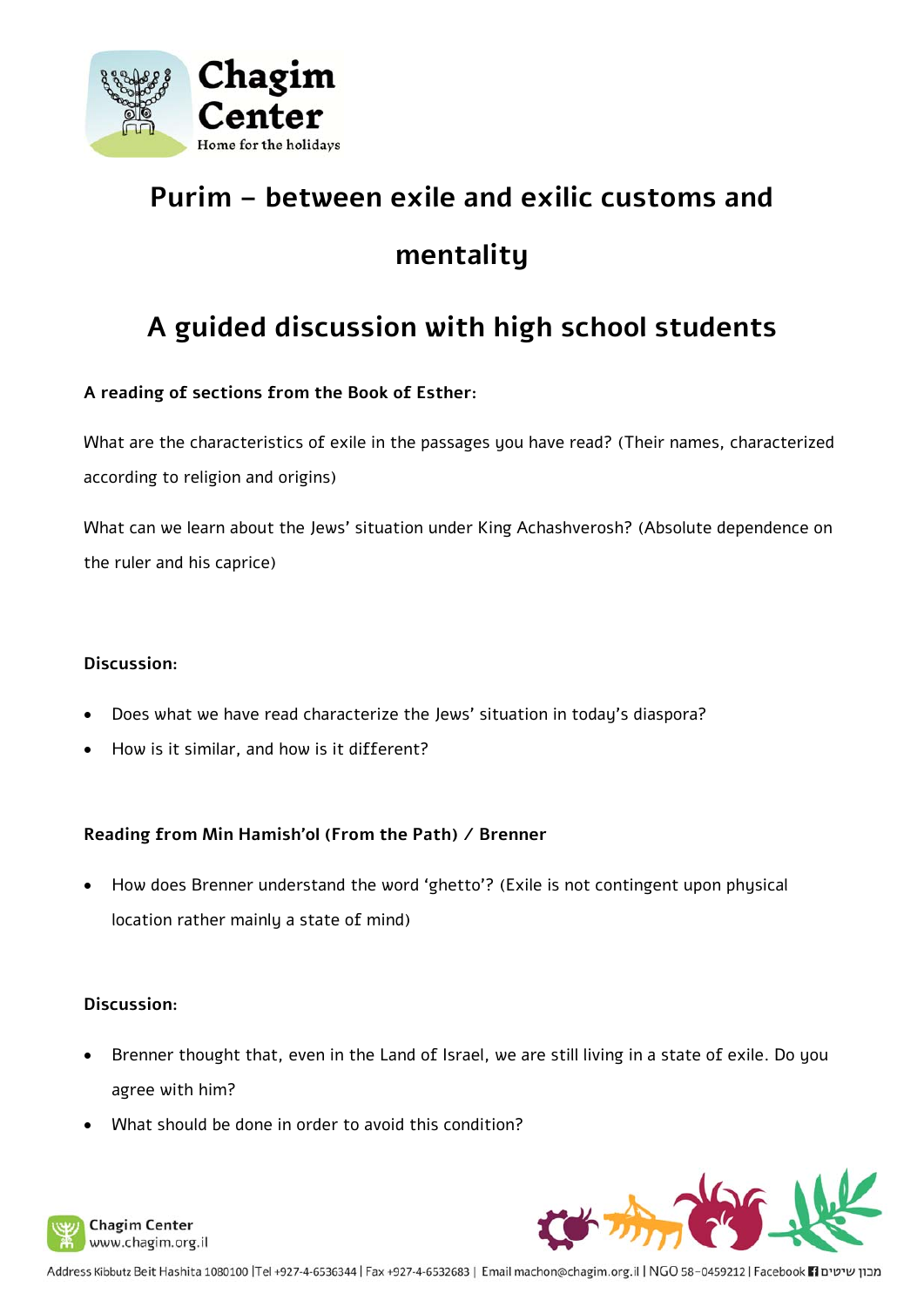

# **Purim – between exile and exilic customs and mentality**

# **A guided discussion with high school students**

## **A reading of sections from the Book of Esther:**

What are the characteristics of exile in the passages you have read? (Their names, characterized according to religion and origins)

What can we learn about the Jews' situation under King Achashverosh? (Absolute dependence on the ruler and his caprice)

#### **Discussion:**

- Does what we have read characterize the Jews' situation in today's diaspora?
- How is it similar, and how is it different?

### **Reading from Min Hamish'ol (From the Path) / Brenner**

 How does Brenner understand the word 'ghetto'? (Exile is not contingent upon physical location rather mainly a state of mind)

#### **Discussion:**

- Brenner thought that, even in the Land of Israel, we are still living in a state of exile. Do you agree with him?
- What should be done in order to avoid this condition?



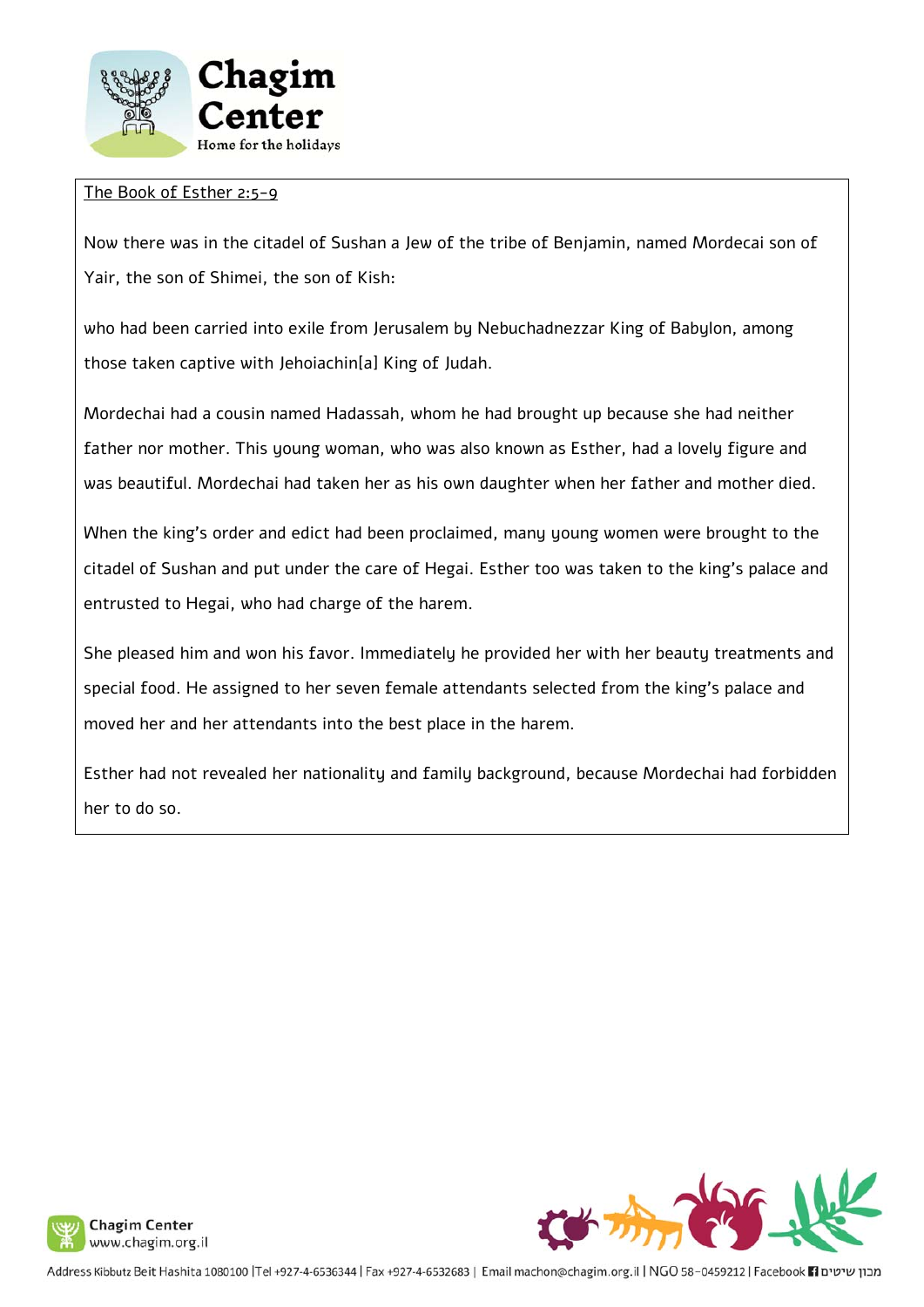

#### The Book of Esther 2:5-9

Now there was in the citadel of Sushan a Jew of the tribe of Benjamin, named Mordecai son of Yair, the son of Shimei, the son of Kish:

who had been carried into exile from Jerusalem by Nebuchadnezzar King of Babylon, among those taken captive with Jehoiachin[a] King of Judah.

Mordechai had a cousin named Hadassah, whom he had brought up because she had neither father nor mother. This young woman, who was also known as Esther, had a lovely figure and was beautiful. Mordechai had taken her as his own daughter when her father and mother died.

When the king's order and edict had been proclaimed, many young women were brought to the citadel of Sushan and put under the care of Hegai. Esther too was taken to the king's palace and entrusted to Hegai, who had charge of the harem.

She pleased him and won his favor. Immediately he provided her with her beauty treatments and special food. He assigned to her seven female attendants selected from the king's palace and moved her and her attendants into the best place in the harem.

Esther had not revealed her nationality and family background, because Mordechai had forbidden her to do so.



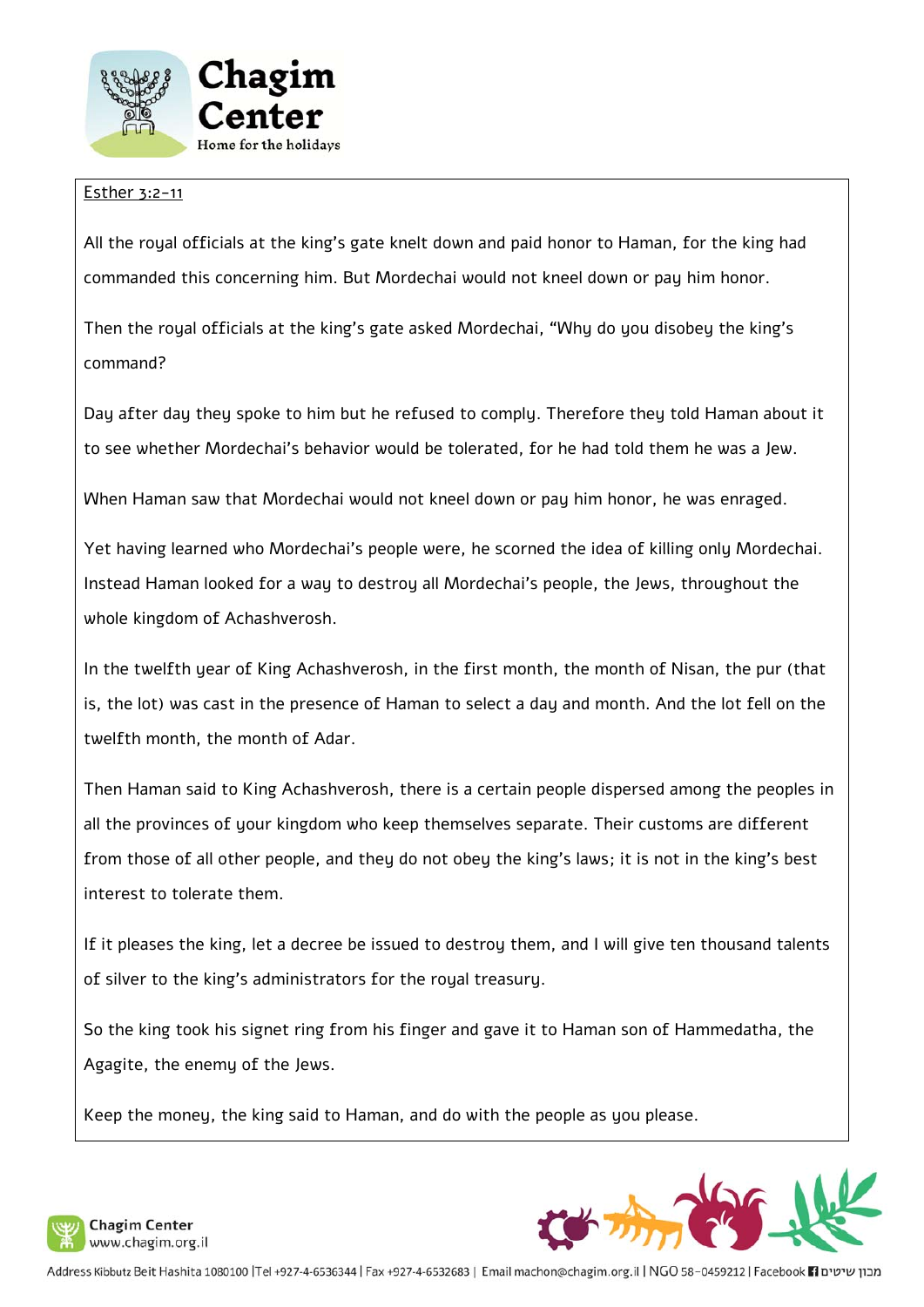

#### Esther 3:2-11

All the royal officials at the king's gate knelt down and paid honor to Haman, for the king had commanded this concerning him. But Mordechai would not kneel down or pay him honor.

Then the royal officials at the king's gate asked Mordechai, "Why do you disobey the king's command?

Day after day they spoke to him but he refused to comply. Therefore they told Haman about it to see whether Mordechai's behavior would be tolerated, for he had told them he was a Jew.

When Haman saw that Mordechai would not kneel down or pay him honor, he was enraged.

Yet having learned who Mordechai's people were, he scorned the idea of killing only Mordechai. Instead Haman looked for a way to destroy all Mordechai's people, the Jews, throughout the whole kingdom of Achashverosh.

In the twelfth year of King Achashverosh, in the first month, the month of Nisan, the pur (that is, the lot) was cast in the presence of Haman to select a day and month. And the lot fell on the twelfth month, the month of Adar.

Then Haman said to King Achashverosh, there is a certain people dispersed among the peoples in all the provinces of your kingdom who keep themselves separate. Their customs are different from those of all other people, and they do not obey the king's laws; it is not in the king's best interest to tolerate them.

If it pleases the king, let a decree be issued to destroy them, and I will give ten thousand talents of silver to the king's administrators for the royal treasury.

So the king took his signet ring from his finger and gave it to Haman son of Hammedatha, the Agagite, the enemy of the Jews.

Keep the money, the king said to Haman, and do with the people as you please.